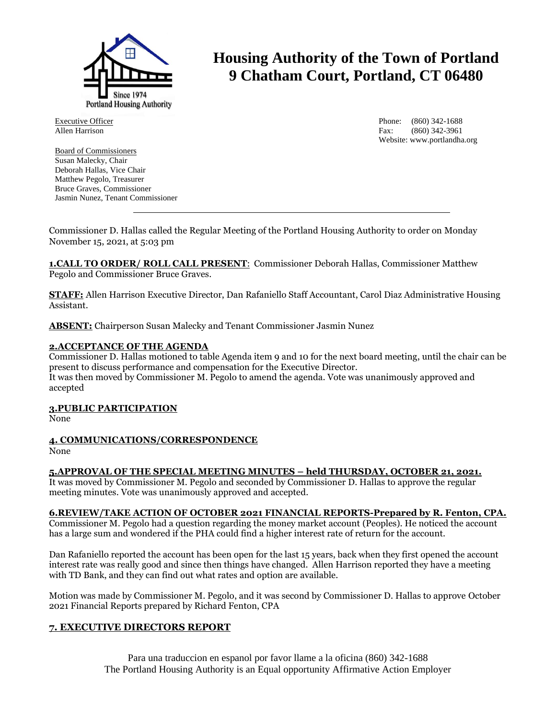

# **Housing Authority of the Town of Portland 9 Chatham Court, Portland, CT 06480**

Executive Officer Allen Harrison

Board of Commissioners Susan Malecky, Chair Deborah Hallas, Vice Chair Matthew Pegolo, Treasurer Bruce Graves, Commissioner Jasmin Nunez, Tenant Commissioner Phone: (860) 342-1688 Fax: (860) 342-3961 Website: www.portlandha.org

Commissioner D. Hallas called the Regular Meeting of the Portland Housing Authority to order on Monday November 15, 2021, at 5:03 pm

**1.CALL TO ORDER/ ROLL CALL PRESENT**: Commissioner Deborah Hallas, Commissioner Matthew Pegolo and Commissioner Bruce Graves.

**STAFF:** Allen Harrison Executive Director, Dan Rafaniello Staff Accountant, Carol Diaz Administrative Housing Assistant.

**ABSENT:** Chairperson Susan Malecky and Tenant Commissioner Jasmin Nunez

# **2.ACCEPTANCE OF THE AGENDA**

Commissioner D. Hallas motioned to table Agenda item 9 and 10 for the next board meeting, until the chair can be present to discuss performance and compensation for the Executive Director. It was then moved by Commissioner M. Pegolo to amend the agenda. Vote was unanimously approved and accepted

#### **3.PUBLIC PARTICIPATION**

None

# **4. COMMUNICATIONS/CORRESPONDENCE**

None

# **5.APPROVAL OF THE SPECIAL MEETING MINUTES – held THURSDAY, OCTOBER 21, 2021.**

It was moved by Commissioner M. Pegolo and seconded by Commissioner D. Hallas to approve the regular meeting minutes. Vote was unanimously approved and accepted.

#### **6.REVIEW/TAKE ACTION OF OCTOBER 2021 FINANCIAL REPORTS-Prepared by R. Fenton, CPA.**

Commissioner M. Pegolo had a question regarding the money market account (Peoples). He noticed the account has a large sum and wondered if the PHA could find a higher interest rate of return for the account.

Dan Rafaniello reported the account has been open for the last 15 years, back when they first opened the account interest rate was really good and since then things have changed. Allen Harrison reported they have a meeting with TD Bank, and they can find out what rates and option are available.

Motion was made by Commissioner M. Pegolo, and it was second by Commissioner D. Hallas to approve October 2021 Financial Reports prepared by Richard Fenton, CPA

# **7. EXECUTIVE DIRECTORS REPORT**

Para una traduccion en espanol por favor llame a la oficina (860) 342-1688 The Portland Housing Authority is an Equal opportunity Affirmative Action Employer